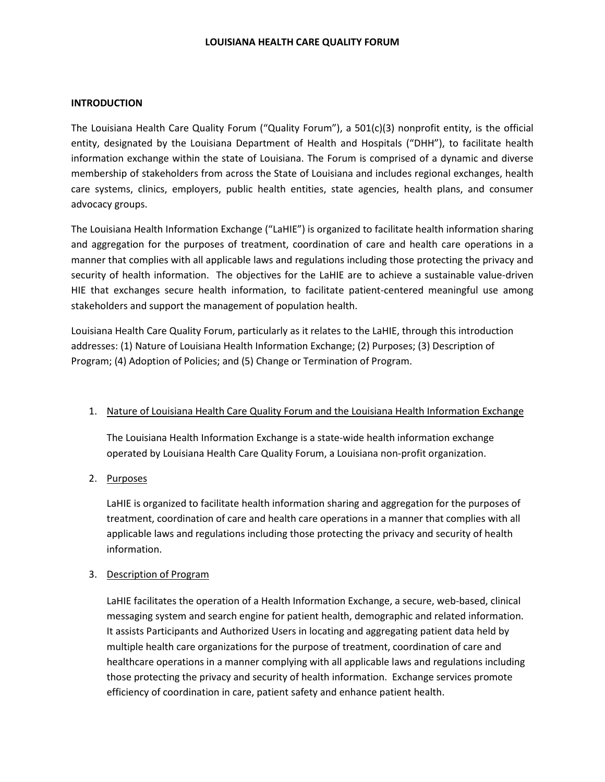#### **LOUISIANA HEALTH CARE QUALITY FORUM**

### **INTRODUCTION**

The Louisiana Health Care Quality Forum ("Quality Forum"), a 501(c)(3) nonprofit entity, is the official entity, designated by the Louisiana Department of Health and Hospitals ("DHH"), to facilitate health information exchange within the state of Louisiana. The Forum is comprised of a dynamic and diverse membership of stakeholders from across the State of Louisiana and includes regional exchanges, health care systems, clinics, employers, public health entities, state agencies, health plans, and consumer advocacy groups.

The Louisiana Health Information Exchange ("LaHIE") is organized to facilitate health information sharing and aggregation for the purposes of treatment, coordination of care and health care operations in a manner that complies with all applicable laws and regulations including those protecting the privacy and security of health information. The objectives for the LaHIE are to achieve a sustainable value-driven HIE that exchanges secure health information, to facilitate patient-centered meaningful use among stakeholders and support the management of population health.

Louisiana Health Care Quality Forum, particularly as it relates to the LaHIE, through this introduction addresses: (1) Nature of Louisiana Health Information Exchange; (2) Purposes; (3) Description of Program; (4) Adoption of Policies; and (5) Change or Termination of Program.

### 1. Nature of Louisiana Health Care Quality Forum and the Louisiana Health Information Exchange

The Louisiana Health Information Exchange is a state-wide health information exchange operated by Louisiana Health Care Quality Forum, a Louisiana non-profit organization.

2. Purposes

LaHIE is organized to facilitate health information sharing and aggregation for the purposes of treatment, coordination of care and health care operations in a manner that complies with all applicable laws and regulations including those protecting the privacy and security of health information.

### 3. Description of Program

LaHIE facilitates the operation of a Health Information Exchange, a secure, web-based, clinical messaging system and search engine for patient health, demographic and related information. It assists Participants and Authorized Users in locating and aggregating patient data held by multiple health care organizations for the purpose of treatment, coordination of care and healthcare operations in a manner complying with all applicable laws and regulations including those protecting the privacy and security of health information. Exchange services promote efficiency of coordination in care, patient safety and enhance patient health.